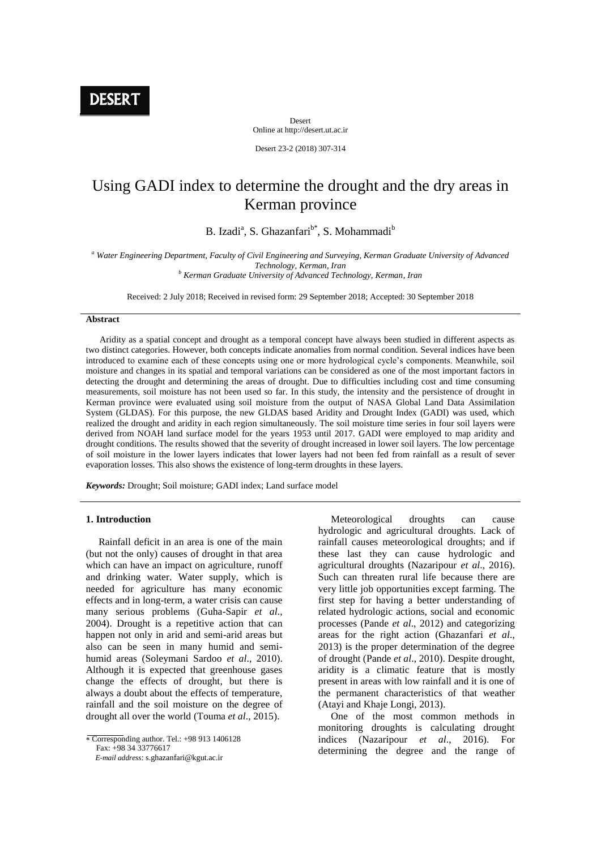DESER<sub>1</sub>

Desert Online at http://desert.ut.ac.ir

Desert 23-2 (2018) 307-314

# Using GADI index to determine the drought and the dry areas in Kerman province

B. Izadi<sup>a</sup>, S. Ghazanfari<sup>b\*</sup>, S. Mohammadi<sup>b</sup>

*<sup>a</sup> Water Engineering Department, Faculty of Civil Engineering and Surveying, Kerman Graduate University of Advanced Technology, Kerman, Iran*

*<sup>b</sup> Kerman Graduate University of Advanced Technology, Kerman, Iran*

Received: 2 July 2018; Received in revised form: 29 September 2018; Accepted: 30 September 2018

#### **Abstract**

 Aridity as a spatial concept and drought as a temporal concept have always been studied in different aspects as two distinct categories. However, both concepts indicate anomalies from normal condition. Several indices have been introduced to examine each of these concepts using one or more hydrological cycle's components. Meanwhile, soil moisture and changes in its spatial and temporal variations can be considered as one of the most important factors in detecting the drought and determining the areas of drought. Due to difficulties including cost and time consuming measurements, soil moisture has not been used so far. In this study, the intensity and the persistence of drought in Kerman province were evaluated using soil moisture from the output of NASA Global Land Data Assimilation System (GLDAS). For this purpose, the new GLDAS based Aridity and Drought Index (GADI) was used, which realized the drought and aridity in each region simultaneously. The soil moisture time series in four soil layers were derived from NOAH land surface model for the years 1953 until 2017. GADI were employed to map aridity and drought conditions. The results showed that the severity of drought increased in lower soil layers. The low percentage of soil moisture in the lower layers indicates that lower layers had not been fed from rainfall as a result of sever evaporation losses. This also shows the existence of long-term droughts in these layers.

*Keywords:* Drought; Soil moisture; GADI index; Land surface model

#### **1. Introduction**

 Rainfall deficit in an area is one of the main (but not the only) causes of drought in that area which can have an impact on agriculture, runoff and drinking water. Water supply, which is needed for agriculture has many economic effects and in long-term, a water crisis can cause many serious problems (Guha-Sapir *et al*., 2004). Drought is a repetitive action that can happen not only in arid and semi-arid areas but also can be seen in many humid and semihumid areas (Soleymani Sardoo *et al*., 2010). Although it is expected that greenhouse gases change the effects of drought, but there is always a doubt about the effects of temperature, rainfall and the soil moisture on the degree of drought all over the world (Touma *et al*., 2015).

 Corresponding author. Tel.: +98 913 1406128 Fax: +98 34 33776617

 *E-mail address*: s.ghazanfari@kgut.ac.ir

 Meteorological droughts can cause hydrologic and agricultural droughts. Lack of rainfall causes meteorological droughts; and if these last they can cause hydrologic and agricultural droughts (Nazaripour *et al*., 2016). Such can threaten rural life because there are very little job opportunities except farming. The first step for having a better understanding of related hydrologic actions, social and economic processes (Pande *et al*., 2012) and categorizing areas for the right action (Ghazanfari *et al*., 2013) is the proper determination of the degree of drought (Pande *et al*., 2010). Despite drought, aridity is a climatic feature that is mostly present in areas with low rainfall and it is one of the permanent characteristics of that weather (Atayi and Khaje Longi, 2013).

 One of the most common methods in monitoring droughts is calculating drought indices (Nazaripour *et al*., 2016). For determining the degree and the range of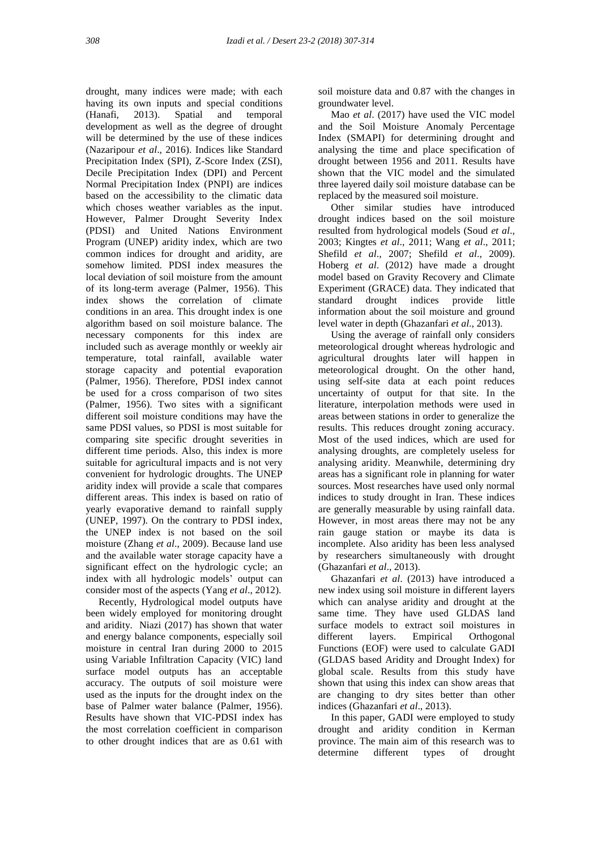drought, many indices were made; with each having its own inputs and special conditions (Hanafi, 2013). Spatial and temporal development as well as the degree of drought will be determined by the use of these indices (Nazaripour *et al*., 2016). Indices like Standard Precipitation Index (SPI), Z-Score Index (ZSI), Decile Precipitation Index (DPI) and Percent Normal Precipitation Index (PNPI) are indices based on the accessibility to the climatic data which choses weather variables as the input. However, Palmer Drought Severity Index (PDSI) and United Nations Environment Program (UNEP) aridity index, which are two common indices for drought and aridity, are somehow limited. PDSI index measures the local deviation of soil moisture from the amount of its long-term average (Palmer, 1956). This index shows the correlation of climate conditions in an area. This drought index is one algorithm based on soil moisture balance. The necessary components for this index are included such as average monthly or weekly air temperature, total rainfall, available water storage capacity and potential evaporation (Palmer, 1956). Therefore, PDSI index cannot be used for a cross comparison of two sites (Palmer, 1956). Two sites with a significant different soil moisture conditions may have the same PDSI values, so PDSI is most suitable for comparing site specific drought severities in different time periods. Also, this index is more suitable for agricultural impacts and is not very convenient for hydrologic droughts. The UNEP aridity index will provide a scale that compares different areas. This index is based on ratio of yearly evaporative demand to rainfall supply (UNEP, 1997). On the contrary to PDSI index, the UNEP index is not based on the soil moisture (Zhang *et al*., 2009). Because land use and the available water storage capacity have a significant effect on the hydrologic cycle; an index with all hydrologic models' output can consider most of the aspects (Yang *et al*., 2012).

 Recently, Hydrological model outputs have been widely employed for monitoring drought and aridity. Niazi (2017) has shown that water and energy balance components, especially soil moisture in central Iran during 2000 to 2015 using Variable Infiltration Capacity (VIC) land surface model outputs has an acceptable accuracy. The outputs of soil moisture were used as the inputs for the drought index on the base of Palmer water balance (Palmer, 1956). Results have shown that VIC-PDSI index has the most correlation coefficient in comparison to other drought indices that are as 0.61 with

soil moisture data and 0.87 with the changes in groundwater level.

 Mao *et al*. (2017) have used the VIC model and the Soil Moisture Anomaly Percentage Index (SMAPI) for determining drought and analysing the time and place specification of drought between 1956 and 2011. Results have shown that the VIC model and the simulated three layered daily soil moisture database can be replaced by the measured soil moisture.

 Other similar studies have introduced drought indices based on the soil moisture resulted from hydrological models (Soud *et al*., 2003; Kingtes *et al*., 2011; Wang *et al*., 2011; Shefild *et al*., 2007; Shefild *et al*., 2009). Hoberg *et al*. (2012) have made a drought model based on Gravity Recovery and Climate Experiment (GRACE) data. They indicated that standard drought indices provide little information about the soil moisture and ground level water in depth (Ghazanfari *et al*., 2013).

 Using the average of rainfall only considers meteorological drought whereas hydrologic and agricultural droughts later will happen in meteorological drought. On the other hand, using self-site data at each point reduces uncertainty of output for that site. In the literature, interpolation methods were used in areas between stations in order to generalize the results. This reduces drought zoning accuracy. Most of the used indices, which are used for analysing droughts, are completely useless for analysing aridity. Meanwhile, determining dry areas has a significant role in planning for water sources. Most researches have used only normal indices to study drought in Iran. These indices are generally measurable by using rainfall data. However, in most areas there may not be any rain gauge station or maybe its data is incomplete. Also aridity has been less analysed by researchers simultaneously with drought (Ghazanfari *et al*., 2013).

 Ghazanfari *et al*. (2013) have introduced a new index using soil moisture in different layers which can analyse aridity and drought at the same time. They have used GLDAS land surface models to extract soil moistures in different layers. Empirical Orthogonal Functions (EOF) were used to calculate GADI (GLDAS based Aridity and Drought Index) for global scale. Results from this study have shown that using this index can show areas that are changing to dry sites better than other indices (Ghazanfari *et al*., 2013).

 In this paper, GADI were employed to study drought and aridity condition in Kerman province. The main aim of this research was to determine different types of drought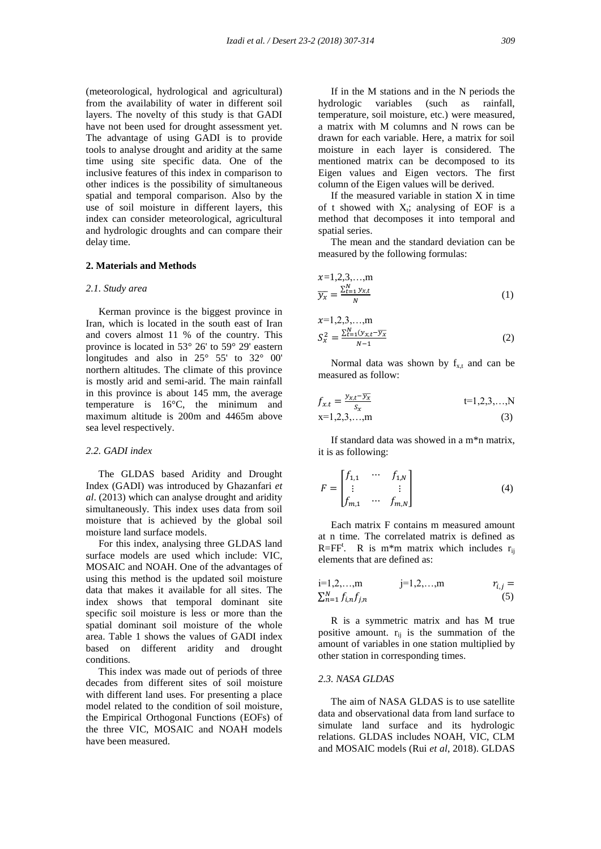(meteorological, hydrological and agricultural) from the availability of water in different soil layers. The novelty of this study is that GADI have not been used for drought assessment yet. The advantage of using GADI is to provide tools to analyse drought and aridity at the same time using site specific data. One of the inclusive features of this index in comparison to other indices is the possibility of simultaneous spatial and temporal comparison. Also by the use of soil moisture in different layers, this index can consider meteorological, agricultural and hydrologic droughts and can compare their delay time.

#### **2. Materials and Methods**

#### *2.1. Study area*

 Kerman province is the biggest province in Iran, which is located in the south east of Iran and covers almost 11 % of the country. This province is located in 53° 26' to 59° 29' eastern longitudes and also in 25° 55' to 32° 00' northern altitudes. The climate of this province is mostly arid and semi-arid. The main rainfall in this province is about 145 mm, the average temperature is 16°C, the minimum and maximum altitude is 200m and 4465m above sea level respectively.

## *2.2. GADI index*

 The GLDAS based Aridity and Drought Index (GADI) was introduced by Ghazanfari *et al*. (2013) which can analyse drought and aridity simultaneously. This index uses data from soil moisture that is achieved by the global soil moisture land surface models.

 For this index, analysing three GLDAS land surface models are used which include: VIC, MOSAIC and NOAH. One of the advantages of using this method is the updated soil moisture data that makes it available for all sites. The index shows that temporal dominant site specific soil moisture is less or more than the spatial dominant soil moisture of the whole area. Table 1 shows the values of GADI index based on different aridity and drought conditions.

 This index was made out of periods of three decades from different sites of soil moisture with different land uses. For presenting a place model related to the condition of soil moisture, the Empirical Orthogonal Functions (EOFs) of the three VIC, MOSAIC and NOAH models have been measured.

 If in the M stations and in the N periods the hydrologic variables (such as rainfall, temperature, soil moisture, etc.) were measured, a matrix with M columns and N rows can be drawn for each variable. Here, a matrix for soil moisture in each layer is considered. The mentioned matrix can be decomposed to its Eigen values and Eigen vectors. The first column of the Eigen values will be derived.

 If the measured variable in station X in time of t showed with  $X_t$ ; analysing of EOF is a method that decomposes it into temporal and spatial series.

 The mean and the standard deviation can be measured by the following formulas:

$$
x=1,2,3,...,m
$$
  
\n
$$
\overline{y_x} = \frac{\sum_{t=1}^{N} y_{x,t}}{N}
$$
 (1)

$$
x=1,2,3,...,m
$$
  
\n
$$
S_x^2 = \frac{\sum_{t=1}^N (y_{x,t} - \overline{y_x})}{N-1}
$$
 (2)

Normal data was shown by  $f_{x,t}$  and can be measured as follow:

$$
f_{x,t} = \frac{y_{x,t} - \overline{y_x}}{s_x} \qquad \qquad t=1,2,3,...,Nx=1,2,3,...,m \qquad (3)
$$

 If standard data was showed in a m\*n matrix, it is as following:

$$
F = \begin{bmatrix} f_{1,1} & \cdots & f_{1,N} \\ \vdots & & \vdots \\ f_{m,1} & \cdots & f_{m,N} \end{bmatrix}
$$
 (4)

 Each matrix F contains m measured amount at n time. The correlated matrix is defined as R=FF<sup>t</sup>. R is m<sup>\*</sup>m matrix which includes  $r_{ij}$ elements that are defined as:

$$
i=1,2,...,m
$$
  $j=1,2,...,m$   $r_{i,j} = \sum_{n=1}^{N} f_{i,n} f_{j,n}$  (5)

 R is a symmetric matrix and has M true positive amount.  $r_{ij}$  is the summation of the amount of variables in one station multiplied by other station in corresponding times.

#### *2.3. NASA GLDAS*

 The aim of NASA GLDAS is to use satellite data and observational data from land surface to simulate land surface and its hydrologic relations. GLDAS includes NOAH, VIC, CLM and MOSAIC models (Rui *et al*, 2018). GLDAS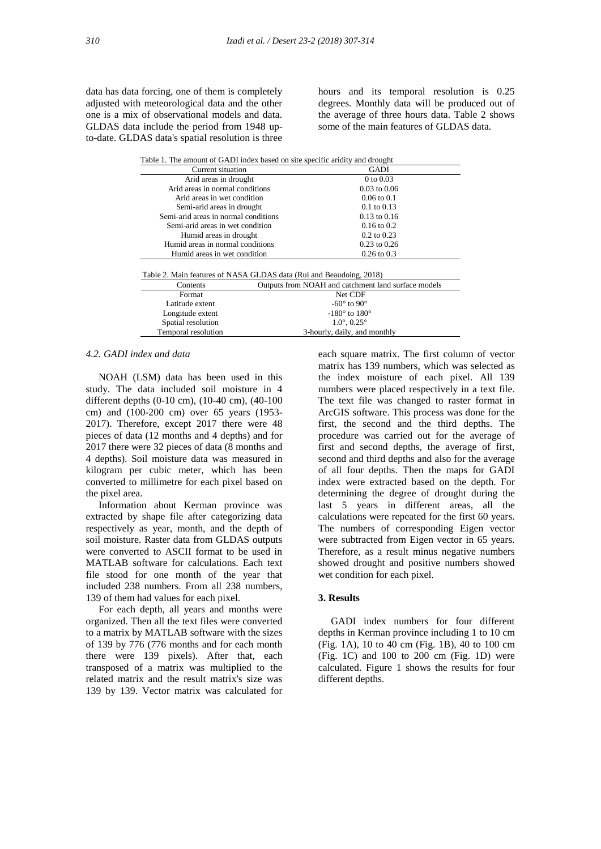data has data forcing, one of them is completely adjusted with meteorological data and the other one is a mix of observational models and data. GLDAS data include the period from 1948 upto-date. GLDAS data's spatial resolution is three

hours and its temporal resolution is 0.25 degrees. Monthly data will be produced out of the average of three hours data. Table 2 shows some of the main features of GLDAS data.

| Table 1. The amount of GADI index based on site specific aridity and drought |                                      |                                                     |
|------------------------------------------------------------------------------|--------------------------------------|-----------------------------------------------------|
| Current situation                                                            |                                      |                                                     |
|                                                                              | Arid areas in drought                |                                                     |
|                                                                              | Arid areas in normal conditions      |                                                     |
|                                                                              | Arid areas in wet condition          |                                                     |
|                                                                              | Semi-arid areas in drought           |                                                     |
|                                                                              | Semi-arid areas in normal conditions |                                                     |
| Semi-arid areas in wet condition                                             |                                      | $0.16$ to $0.2$                                     |
| Humid areas in drought                                                       |                                      | $0.2$ to $0.23$                                     |
| Humid areas in normal conditions                                             |                                      | $0.23$ to $0.26$                                    |
| Humid areas in wet condition                                                 |                                      | $0.26$ to $0.3$                                     |
|                                                                              |                                      |                                                     |
| Table 2. Main features of NASA GLDAS data (Rui and Beaudoing, 2018)          |                                      |                                                     |
| Contents                                                                     |                                      | Outputs from NOAH and catchment land surface models |
| Format                                                                       |                                      | Net CDF                                             |
| Latitude extent                                                              |                                      | $-60^\circ$ to 90 $^\circ$                          |
| Longitude extent                                                             |                                      | $-180^\circ$ to $180^\circ$                         |
| Spatial resolution                                                           |                                      | $1.0^{\circ}, 0.25^{\circ}$                         |
| Temporal resolution                                                          |                                      | 3-hourly, daily, and monthly                        |

## *4.2. GADI index and data*

 NOAH (LSM) data has been used in this study. The data included soil moisture in 4 different depths (0-10 cm), (10-40 cm), (40-100 cm) and (100-200 cm) over 65 years (1953- 2017). Therefore, except 2017 there were 48 pieces of data (12 months and 4 depths) and for 2017 there were 32 pieces of data (8 months and 4 depths). Soil moisture data was measured in kilogram per cubic meter, which has been converted to millimetre for each pixel based on the pixel area.

 Information about Kerman province was extracted by shape file after categorizing data respectively as year, month, and the depth of soil moisture. Raster data from GLDAS outputs were converted to ASCII format to be used in MATLAB software for calculations. Each text file stood for one month of the year that included 238 numbers. From all 238 numbers, 139 of them had values for each pixel.

 For each depth, all years and months were organized. Then all the text files were converted to a matrix by MATLAB software with the sizes of 139 by 776 (776 months and for each month there were 139 pixels). After that, each transposed of a matrix was multiplied to the related matrix and the result matrix's size was 139 by 139. Vector matrix was calculated for

each square matrix. The first column of vector matrix has 139 numbers, which was selected as the index moisture of each pixel. All 139 numbers were placed respectively in a text file. The text file was changed to raster format in ArcGIS software. This process was done for the first, the second and the third depths. The procedure was carried out for the average of first and second depths, the average of first, second and third depths and also for the average of all four depths. Then the maps for GADI index were extracted based on the depth. For determining the degree of drought during the last 5 years in different areas, all the calculations were repeated for the first 60 years. The numbers of corresponding Eigen vector were subtracted from Eigen vector in 65 years. Therefore, as a result minus negative numbers showed drought and positive numbers showed wet condition for each pixel.

## **3. Results**

 GADI index numbers for four different depths in Kerman province including 1 to 10 cm (Fig. 1A), 10 to 40 cm (Fig. 1B), 40 to 100 cm (Fig. 1C) and 100 to 200 cm (Fig. 1D) were calculated. Figure 1 shows the results for four different depths.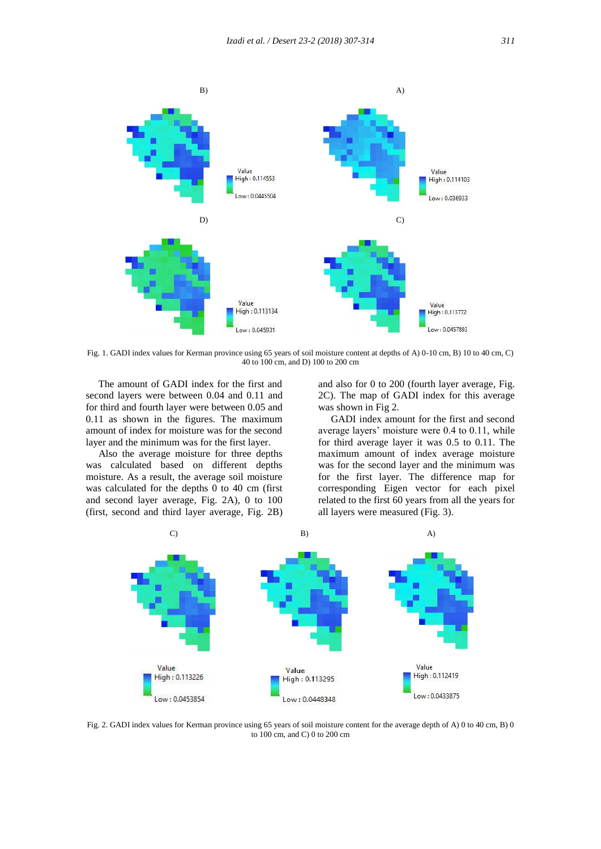

Fig. 1. GADI index values for Kerman province using 65 years of soil moisture content at depths of A) 0-10 cm, B) 10 to 40 cm, C) 40 to 100 cm, and D) 100 to 200 cm

 The amount of GADI index for the first and second layers were between 0.04 and 0.11 and for third and fourth layer were between 0.05 and 0.11 as shown in the figures. The maximum amount of index for moisture was for the second layer and the minimum was for the first layer.

 Also the average moisture for three depths was calculated based on different depths moisture. As a result, the average soil moisture was calculated for the depths 0 to 40 cm (first and second layer average, Fig. 2A), 0 to 100 (first, second and third layer average, Fig. 2B) and also for 0 to 200 (fourth layer average, Fig. 2C). The map of GADI index for this average was shown in Fig 2.

 GADI index amount for the first and second average layers' moisture were 0.4 to 0.11, while for third average layer it was 0.5 to 0.11. The maximum amount of index average moisture was for the second layer and the minimum was for the first layer. The difference map for corresponding Eigen vector for each pixel related to the first 60 years from all the years for all layers were measured (Fig. 3).



Fig. 2. GADI index values for Kerman province using 65 years of soil moisture content for the average depth of A) 0 to 40 cm, B) 0 to 100 cm, and C) 0 to 200 cm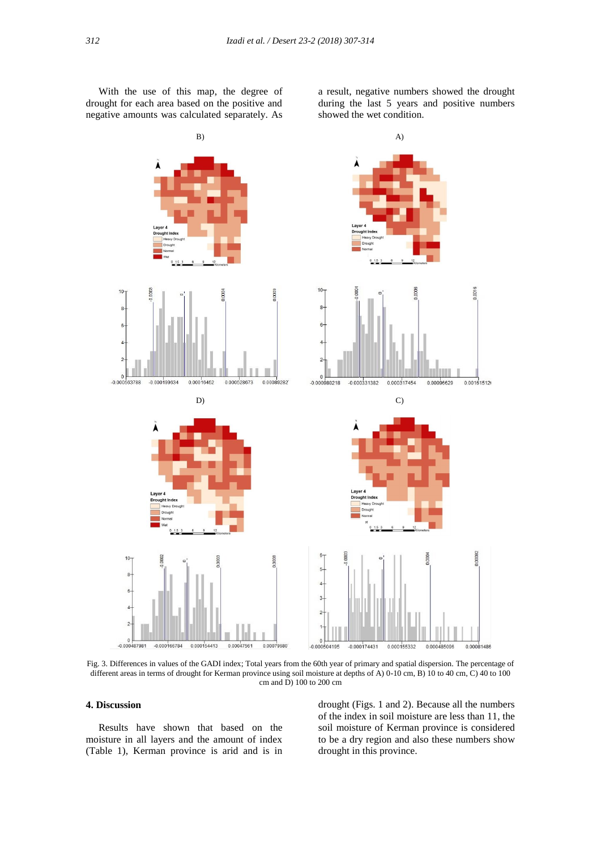With the use of this map, the degree of drought for each area based on the positive and negative amounts was calculated separately. As

a result, negative numbers showed the drought during the last 5 years and positive numbers showed the wet condition.



Fig. 3. Differences in values of the GADI index; Total years from the 60th year of primary and spatial dispersion. The percentage of different areas in terms of drought for Kerman province using soil moisture at depths of A) 0-10 cm, B) 10 to 40 cm, C) 40 to 100 cm and  $\overline{D}$ ) 100 to 200 cm

## **4. Discussion**

 Results have shown that based on the moisture in all layers and the amount of index (Table 1), Kerman province is arid and is in

drought (Figs. 1 and 2). Because all the numbers of the index in soil moisture are less than 11, the soil moisture of Kerman province is considered to be a dry region and also these numbers show drought in this province.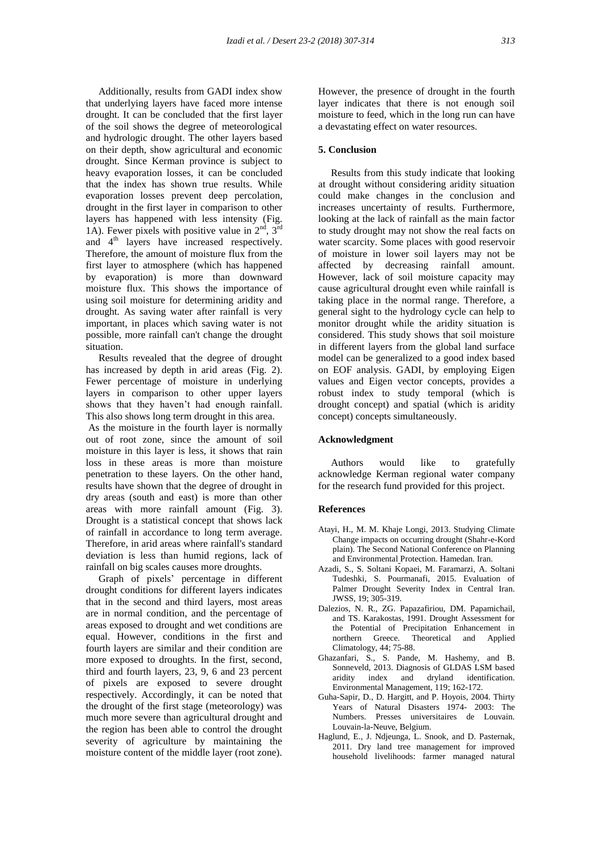Additionally, results from GADI index show that underlying layers have faced more intense drought. It can be concluded that the first layer of the soil shows the degree of meteorological and hydrologic drought. The other layers based on their depth, show agricultural and economic drought. Since Kerman province is subject to heavy evaporation losses, it can be concluded that the index has shown true results. While evaporation losses prevent deep percolation, drought in the first layer in comparison to other layers has happened with less intensity (Fig. 1A). Fewer pixels with positive value in  $2<sup>nd</sup>$ ,  $3<sup>rd</sup>$ and 4<sup>th</sup> layers have increased respectively. Therefore, the amount of moisture flux from the first layer to atmosphere (which has happened by evaporation) is more than downward moisture flux. This shows the importance of using soil moisture for determining aridity and drought. As saving water after rainfall is very important, in places which saving water is not possible, more rainfall can't change the drought situation.

 Results revealed that the degree of drought has increased by depth in arid areas (Fig. 2). Fewer percentage of moisture in underlying layers in comparison to other upper layers shows that they haven't had enough rainfall. This also shows long term drought in this area.

As the moisture in the fourth layer is normally out of root zone, since the amount of soil moisture in this layer is less, it shows that rain loss in these areas is more than moisture penetration to these layers. On the other hand, results have shown that the degree of drought in dry areas (south and east) is more than other areas with more rainfall amount (Fig. 3). Drought is a statistical concept that shows lack of rainfall in accordance to long term average. Therefore, in arid areas where rainfall's standard deviation is less than humid regions, lack of rainfall on big scales causes more droughts.

 Graph of pixels' percentage in different drought conditions for different layers indicates that in the second and third layers, most areas are in normal condition, and the percentage of areas exposed to drought and wet conditions are equal. However, conditions in the first and fourth layers are similar and their condition are more exposed to droughts. In the first, second, third and fourth layers, 23, 9, 6 and 23 percent of pixels are exposed to severe drought respectively. Accordingly, it can be noted that the drought of the first stage (meteorology) was much more severe than agricultural drought and the region has been able to control the drought severity of agriculture by maintaining the moisture content of the middle layer (root zone).

However, the presence of drought in the fourth layer indicates that there is not enough soil moisture to feed, which in the long run can have a devastating effect on water resources.

#### **5. Conclusion**

 Results from this study indicate that looking at drought without considering aridity situation could make changes in the conclusion and increases uncertainty of results. Furthermore, looking at the lack of rainfall as the main factor to study drought may not show the real facts on water scarcity. Some places with good reservoir of moisture in lower soil layers may not be affected by decreasing rainfall amount. However, lack of soil moisture capacity may cause agricultural drought even while rainfall is taking place in the normal range. Therefore, a general sight to the hydrology cycle can help to monitor drought while the aridity situation is considered. This study shows that soil moisture in different layers from the global land surface model can be generalized to a good index based on EOF analysis. GADI, by employing Eigen values and Eigen vector concepts, provides a robust index to study temporal (which is drought concept) and spatial (which is aridity concept) concepts simultaneously.

# **Acknowledgment**

 Authors would like to gratefully acknowledge Kerman regional water company for the research fund provided for this project.

#### **References**

- Atayi, H., M. M. Khaje Longi, 2013. Studying Climate Change impacts on occurring drought (Shahr-e-Kord plain). The Second National Conference on Planning and Environmental Protection. Hamedan. Iran.
- Azadi, S., S. Soltani Kopaei, M. Faramarzi, A. Soltani Tudeshki, S. Pourmanafi, 2015. Evaluation of Palmer Drought Severity Index in Central Iran. JWSS, 19; 305-319.
- Dalezios, N. R., ZG. Papazafiriou, DM. Papamichail, and TS. Karakostas, 1991. Drought Assessment for the Potential of Precipitation Enhancement in northern Greece. Theoretical and Applied Climatology, 44; 75-88.
- Ghazanfari, S., S. Pande, M. Hashemy, and B. Sonneveld, 2013. Diagnosis of GLDAS LSM based aridity index and dryland identification. Environmental Management, 119; 162-172.
- Guha-Sapir, D., D. Hargitt, and P. Hoyois, 2004. Thirty Years of Natural Disasters 1974- 2003: The Numbers. Presses universitaires de Louvain. Louvain-la-Neuve, Belgium.
- Haglund, E., J. Ndjeunga, L. Snook, and D. Pasternak, 2011. Dry land tree management for improved household livelihoods: farmer managed natural